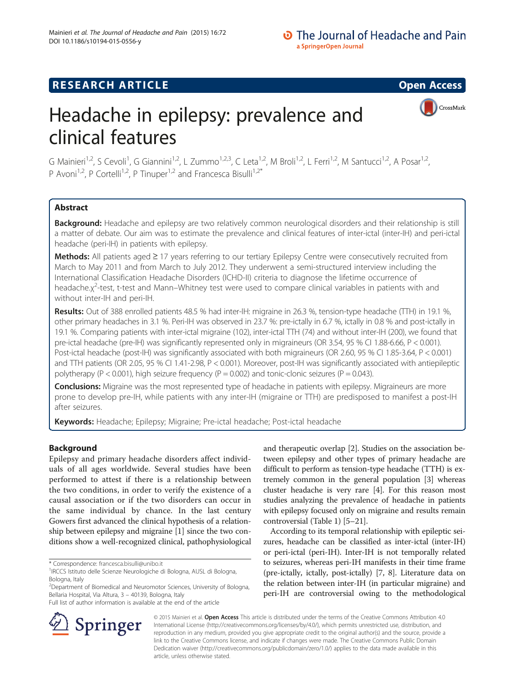## **RESEARCH ARTICLE Example 2014 12:30 The SEAR CH ACCESS**

CrossMark

# Headache in epilepsy: prevalence and clinical features

G Mainieri<sup>1,2</sup>, S Cevoli<sup>1</sup>, G Giannini<sup>1,2</sup>, L Zummo<sup>1,2,3</sup>, C Leta<sup>1,2</sup>, M Broli<sup>1,2</sup>, L Ferri<sup>1,2</sup>, M Santucci<sup>1,2</sup>, A Posar<sup>1,2</sup>, P Avoni<sup>1,2</sup>, P Cortelli<sup>1,2</sup>, P Tinuper<sup>1,2</sup> and Francesca Bisulli<sup>1,2\*</sup>

## **Abstract**

Background: Headache and epilepsy are two relatively common neurological disorders and their relationship is still a matter of debate. Our aim was to estimate the prevalence and clinical features of inter-ictal (inter-IH) and peri-ictal headache (peri-IH) in patients with epilepsy.

Methods: All patients aged ≥ 17 years referring to our tertiary Epilepsy Centre were consecutively recruited from March to May 2011 and from March to July 2012. They underwent a semi-structured interview including the International Classification Headache Disorders (ICHD-II) criteria to diagnose the lifetime occurrence of headache.χ<sup>2</sup>-test, t-test and Mann–Whitney test were used to compare clinical variables in patients with and without inter-IH and peri-IH.

Results: Out of 388 enrolled patients 48.5 % had inter-IH: migraine in 26.3 %, tension-type headache (TTH) in 19.1 %, other primary headaches in 3.1 %. Peri-IH was observed in 23.7 %: pre-ictally in 6.7 %, ictally in 0.8 % and post-ictally in 19.1 %. Comparing patients with inter-ictal migraine (102), inter-ictal TTH (74) and without inter-IH (200), we found that pre-ictal headache (pre-IH) was significantly represented only in migraineurs (OR 3.54, 95 % CI 1.88-6.66, P < 0.001). Post-ictal headache (post-IH) was significantly associated with both migraineurs (OR 2.60, 95 % CI 1.85-3.64, P < 0.001) and TTH patients (OR 2.05, 95 % CI 1.41-2.98, P < 0.001). Moreover, post-IH was significantly associated with antiepileptic polytherapy ( $P < 0.001$ ), high seizure frequency ( $P = 0.002$ ) and tonic-clonic seizures ( $P = 0.043$ ).

**Conclusions:** Migraine was the most represented type of headache in patients with epilepsy. Migraineurs are more prone to develop pre-IH, while patients with any inter-IH (migraine or TTH) are predisposed to manifest a post-IH after seizures.

Keywords: Headache; Epilepsy; Migraine; Pre-ictal headache; Post-ictal headache

## Background

Epilepsy and primary headache disorders affect individuals of all ages worldwide. Several studies have been performed to attest if there is a relationship between the two conditions, in order to verify the existence of a causal association or if the two disorders can occur in the same individual by chance. In the last century Gowers first advanced the clinical hypothesis of a relationship between epilepsy and migraine [\[1](#page-8-0)] since the two conditions show a well-recognized clinical, pathophysiological

2 Department of Biomedical and Neuromotor Sciences, University of Bologna, Bellaria Hospital, Via Altura, 3 – 40139, Bologna, Italy

and therapeutic overlap [[2](#page-8-0)]. Studies on the association between epilepsy and other types of primary headache are difficult to perform as tension-type headache (TTH) is extremely common in the general population [[3\]](#page-8-0) whereas cluster headache is very rare [[4](#page-8-0)]. For this reason most studies analyzing the prevalence of headache in patients with epilepsy focused only on migraine and results remain controversial (Table [1](#page-1-0)) [\[5](#page-8-0)–[21](#page-8-0)].

According to its temporal relationship with epileptic seizures, headache can be classified as inter-ictal (inter-IH) or peri-ictal (peri-IH). Inter-IH is not temporally related to seizures, whereas peri-IH manifests in their time frame (pre-ictally, ictally, post-ictally) [[7, 8\]](#page-8-0). Literature data on the relation between inter-IH (in particular migraine) and peri-IH are controversial owing to the methodological



© 2015 Mainieri et al. Open Access This article is distributed under the terms of the Creative Commons Attribution 4.0 International License (http://creativecommons.org/licenses/by/4.0/), which permits unrestricted use, distribution, and reproduction in any medium, provided you give appropriate credit to the original author(s) and the source, provide a link to the Creative Commons license, and indicate if changes were made. The Creative Commons Public Domain Dedication waiver (http://creativecommons.org/publicdomain/zero/1.0/) applies to the data made available in this article, unless otherwise stated.

<sup>\*</sup> Correspondence: [francesca.bisulli@unibo.it](mailto:francesca.bisulli@unibo.it) <sup>1</sup>

<sup>&</sup>lt;sup>1</sup>IRCCS Istituto delle Scienze Neurologiche di Bologna, AUSL di Bologna, Bologna, Italy

Full list of author information is available at the end of the article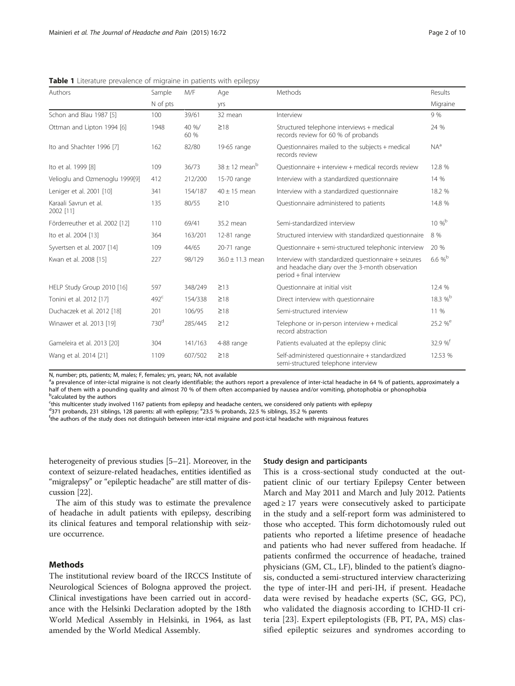| Authors                            | M/F<br>Sample    |               | Age                           | Methods                                                                                                                             | Results             |  |
|------------------------------------|------------------|---------------|-------------------------------|-------------------------------------------------------------------------------------------------------------------------------------|---------------------|--|
|                                    | N of pts         |               | <b>Vrs</b>                    |                                                                                                                                     | Migraine            |  |
| Schon and Blau 1987 [5]            | 100              | 39/61         | 32 mean                       | Interview                                                                                                                           | 9%                  |  |
| Ottman and Lipton 1994 [6]         | 1948             | 40 %/<br>60 % | $\geq$ 18                     | Structured telephone interviews + medical<br>records review for 60 % of probands                                                    | 24 %                |  |
| Ito and Shachter 1996 [7]          | 162              | 82/80         | 19-65 range                   | Questionnaires mailed to the subjects + medical<br>records review                                                                   | $NA^a$              |  |
| Ito et al. 1999 [8]                | 109              | 36/73         | $38 \pm 12$ mean <sup>b</sup> | Ouestionnaire + interview + medical records review                                                                                  | 12.8 %              |  |
| Velioglu and Ozmenoglu 1999[9]     | 412              | 212/200       | 15-70 range                   | Interview with a standardized questionnaire                                                                                         | 14 %                |  |
| Leniger et al. 2001 [10]           | 341              | 154/187       | $40 \pm 15$ mean              | Interview with a standardized questionnaire                                                                                         | 18.2 %              |  |
| Karaali Savrun et al.<br>2002 [11] | 135              | 80/55         | $\geq 10$                     | Questionnaire administered to patients                                                                                              | 14.8 %              |  |
| Förderreuther et al. 2002 [12]     | 110              | 69/41         | 35.2 mean                     | Semi-standardized interview                                                                                                         | $10\%^{\rm b}$      |  |
| Ito et al. 2004 [13]               | 364              | 163/201       | 12-81 range                   | Structured interview with standardized questionnaire                                                                                | 8 %                 |  |
| Syvertsen et al. 2007 [14]         | 109              | 44/65         | 20-71 range                   | Questionnaire + semi-structured telephonic interview                                                                                | 20 %                |  |
| Kwan et al. 2008 [15]              | 227              | 98/129        | $36.0 \pm 11.3$ mean          | Interview with standardized questionnaire + seizures<br>and headache diary over the 3-month observation<br>period + final interview | $6.6 \%$            |  |
| HELP Study Group 2010 [16]         | 597              | 348/249       | $\geq$ 13                     | Ouestionnaire at initial visit                                                                                                      | 12.4 %              |  |
| Tonini et al. 2012 [17]            | $492^{\circ}$    | 154/338       | $\geq 18$                     | Direct interview with questionnaire                                                                                                 | 18.3 %b             |  |
| Duchaczek et al. 2012 [18]         | 201              | 106/95        | $\geq$ 18                     | Semi-structured interview                                                                                                           | 11 %                |  |
| Winawer et al. 2013 [19]           | 730 <sup>d</sup> | 285/445       | $\geq$ 12                     | Telephone or in-person interview + medical<br>record abstraction                                                                    | 25.2 % <sup>e</sup> |  |
| Gameleira et al. 2013 [20]         | 304              | 141/163       | 4-88 range                    | Patients evaluated at the epilepsy clinic                                                                                           | 32.9%               |  |
| Wang et al. 2014 [21]              | 1109             | 607/502       | $\geq$ 18                     | Self-administered questionnaire + standardized<br>semi-structured telephone interview                                               | 12.53 %             |  |

<span id="page-1-0"></span>**Table 1** Literature prevalence of migraine in patients with epilepsy

N, number; pts, patients; M, males; F, females; yrs, years; NA, not available

<sup>a</sup>a prevalence of inter-ictal migraine is not clearly identifiable; the authors report a prevalence of inter-ictal headache in 64 % of patients, approximately a half of them with a pounding quality and almost 70 % of them often accompanied by nausea and/or vomiting, photophobia or phonophobia **b**calculated by the authors

c this multicenter study involved 1167 patients from epilepsy and headache centers, we considered only patients with epilepsy

d<sup>3</sup>371 probands, 231 siblings, 128 parents: all with epilepsy; <sup>e</sup>23.5 % probands, 22.5 % siblings, 35.2 % parents<br><sup>E</sup>the authors of the study does not distinguish between inter-istal migraine and post-istal beadasche wit

<sup>f</sup>the authors of the study does not distinguish between inter-ictal migraine and post-ictal headache with migrainous features

heterogeneity of previous studies [\[5](#page-8-0)–[21](#page-8-0)]. Moreover, in the context of seizure-related headaches, entities identified as "migralepsy" or "epileptic headache" are still matter of discussion [\[22\]](#page-8-0).

The aim of this study was to estimate the prevalence of headache in adult patients with epilepsy, describing its clinical features and temporal relationship with seizure occurrence.

## Methods

The institutional review board of the IRCCS Institute of Neurological Sciences of Bologna approved the project. Clinical investigations have been carried out in accordance with the Helsinki Declaration adopted by the 18th World Medical Assembly in Helsinki, in 1964, as last amended by the World Medical Assembly.

#### Study design and participants

This is a cross-sectional study conducted at the outpatient clinic of our tertiary Epilepsy Center between March and May 2011 and March and July 2012. Patients aged  $\geq$  17 years were consecutively asked to participate in the study and a self-report form was administered to those who accepted. This form dichotomously ruled out patients who reported a lifetime presence of headache and patients who had never suffered from headache. If patients confirmed the occurrence of headache, trained physicians (GM, CL, LF), blinded to the patient's diagnosis, conducted a semi-structured interview characterizing the type of inter-IH and peri-IH, if present. Headache data were revised by headache experts (SC, GG, PC), who validated the diagnosis according to ICHD-II criteria [[23](#page-8-0)]. Expert epileptologists (FB, PT, PA, MS) classified epileptic seizures and syndromes according to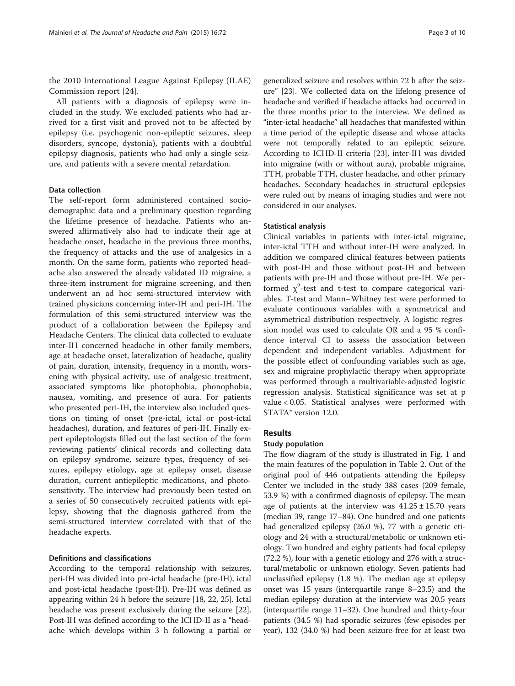the 2010 International League Against Epilepsy (ILAE) Commission report [[24](#page-8-0)].

All patients with a diagnosis of epilepsy were included in the study. We excluded patients who had arrived for a first visit and proved not to be affected by epilepsy (i.e. psychogenic non-epileptic seizures, sleep disorders, syncope, dystonia), patients with a doubtful epilepsy diagnosis, patients who had only a single seizure, and patients with a severe mental retardation.

## Data collection

The self-report form administered contained sociodemographic data and a preliminary question regarding the lifetime presence of headache. Patients who answered affirmatively also had to indicate their age at headache onset, headache in the previous three months, the frequency of attacks and the use of analgesics in a month. On the same form, patients who reported headache also answered the already validated ID migraine, a three-item instrument for migraine screening, and then underwent an ad hoc semi-structured interview with trained physicians concerning inter-IH and peri-IH. The formulation of this semi-structured interview was the product of a collaboration between the Epilepsy and Headache Centers. The clinical data collected to evaluate inter-IH concerned headache in other family members, age at headache onset, lateralization of headache, quality of pain, duration, intensity, frequency in a month, worsening with physical activity, use of analgesic treatment, associated symptoms like photophobia, phonophobia, nausea, vomiting, and presence of aura. For patients who presented peri-IH, the interview also included questions on timing of onset (pre-ictal, ictal or post-ictal headaches), duration, and features of peri-IH. Finally expert epileptologists filled out the last section of the form reviewing patients' clinical records and collecting data on epilepsy syndrome, seizure types, frequency of seizures, epilepsy etiology, age at epilepsy onset, disease duration, current antiepileptic medications, and photosensitivity. The interview had previously been tested on a series of 50 consecutively recruited patients with epilepsy, showing that the diagnosis gathered from the semi-structured interview correlated with that of the headache experts.

## Definitions and classifications

According to the temporal relationship with seizures, peri-IH was divided into pre-ictal headache (pre-IH), ictal and post-ictal headache (post-IH). Pre-IH was defined as appearing within 24 h before the seizure [[18](#page-8-0), [22](#page-8-0), [25\]](#page-8-0). Ictal headache was present exclusively during the seizure [[22](#page-8-0)]. Post-IH was defined according to the ICHD-II as a "headache which develops within 3 h following a partial or

generalized seizure and resolves within 72 h after the seizure" [[23](#page-8-0)]. We collected data on the lifelong presence of headache and verified if headache attacks had occurred in the three months prior to the interview. We defined as "inter-ictal headache" all headaches that manifested within a time period of the epileptic disease and whose attacks were not temporally related to an epileptic seizure. According to ICHD-II criteria [\[23\]](#page-8-0), inter-IH was divided into migraine (with or without aura), probable migraine, TTH, probable TTH, cluster headache, and other primary headaches. Secondary headaches in structural epilepsies were ruled out by means of imaging studies and were not considered in our analyses.

## Statistical analysis

Clinical variables in patients with inter-ictal migraine, inter-ictal TTH and without inter-IH were analyzed. In addition we compared clinical features between patients with post-IH and those without post-IH and between patients with pre-IH and those without pre-IH. We performed  $\chi^2$ -test and t-test to compare categorical variables. T-test and Mann–Whitney test were performed to evaluate continuous variables with a symmetrical and asymmetrical distribution respectively. A logistic regression model was used to calculate OR and a 95 % confidence interval CI to assess the association between dependent and independent variables. Adjustment for the possible effect of confounding variables such as age, sex and migraine prophylactic therapy when appropriate was performed through a multivariable-adjusted logistic regression analysis. Statistical significance was set at p value < 0.05. Statistical analyses were performed with STATA® version 12.0.

## **Results**

## Study population

The flow diagram of the study is illustrated in Fig. [1](#page-3-0) and the main features of the population in Table [2](#page-4-0). Out of the original pool of 446 outpatients attending the Epilepsy Center we included in the study 388 cases (209 female, 53.9 %) with a confirmed diagnosis of epilepsy. The mean age of patients at the interview was  $41.25 \pm 15.70$  years (median 39, range 17–84). One hundred and one patients had generalized epilepsy (26.0 %), 77 with a genetic etiology and 24 with a structural/metabolic or unknown etiology. Two hundred and eighty patients had focal epilepsy (72.2 %), four with a genetic etiology and 276 with a structural/metabolic or unknown etiology. Seven patients had unclassified epilepsy (1.8 %). The median age at epilepsy onset was 15 years (interquartile range 8–23.5) and the median epilepsy duration at the interview was 20.5 years (interquartile range 11–32). One hundred and thirty-four patients (34.5 %) had sporadic seizures (few episodes per year), 132 (34.0 %) had been seizure-free for at least two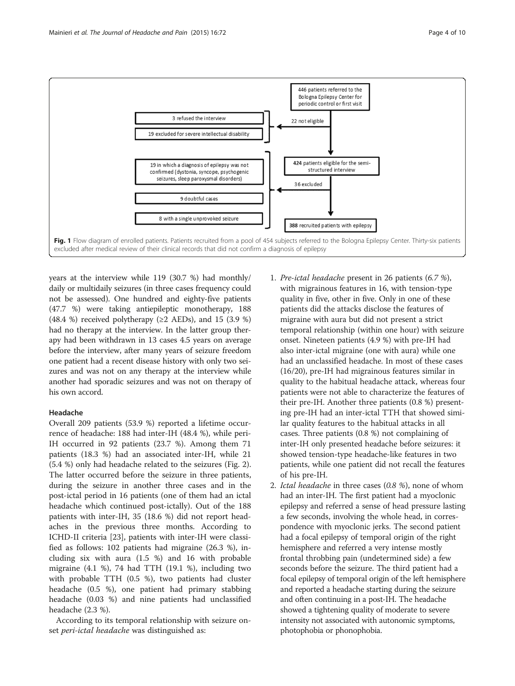<span id="page-3-0"></span>

years at the interview while 119 (30.7 %) had monthly/ daily or multidaily seizures (in three cases frequency could not be assessed). One hundred and eighty-five patients (47.7 %) were taking antiepileptic monotherapy, 188 (48.4 %) received polytherapy ( $\geq$ 2 AEDs), and 15 (3.9 %) had no therapy at the interview. In the latter group therapy had been withdrawn in 13 cases 4.5 years on average before the interview, after many years of seizure freedom one patient had a recent disease history with only two seizures and was not on any therapy at the interview while another had sporadic seizures and was not on therapy of his own accord.

## Headache

Overall 209 patients (53.9 %) reported a lifetime occurrence of headache: 188 had inter-IH (48.4 %), while peri-IH occurred in 92 patients (23.7 %). Among them 71 patients (18.3 %) had an associated inter-IH, while 21 (5.4 %) only had headache related to the seizures (Fig. [2](#page-4-0)). The latter occurred before the seizure in three patients, during the seizure in another three cases and in the post-ictal period in 16 patients (one of them had an ictal headache which continued post-ictally). Out of the 188 patients with inter-IH, 35 (18.6 %) did not report headaches in the previous three months. According to ICHD-II criteria [\[23](#page-8-0)], patients with inter-IH were classified as follows: 102 patients had migraine (26.3 %), including six with aura (1.5 %) and 16 with probable migraine (4.1 %), 74 had TTH (19.1 %), including two with probable TTH (0.5 %), two patients had cluster headache (0.5 %), one patient had primary stabbing headache (0.03 %) and nine patients had unclassified headache (2.3 %).

According to its temporal relationship with seizure onset peri-ictal headache was distinguished as:

- 1. Pre-ictal headache present in 26 patients (6.7 %), with migrainous features in 16, with tension-type quality in five, other in five. Only in one of these patients did the attacks disclose the features of migraine with aura but did not present a strict temporal relationship (within one hour) with seizure onset. Nineteen patients (4.9 %) with pre-IH had also inter-ictal migraine (one with aura) while one had an unclassified headache. In most of these cases (16/20), pre-IH had migrainous features similar in quality to the habitual headache attack, whereas four patients were not able to characterize the features of their pre-IH. Another three patients (0.8 %) presenting pre-IH had an inter-ictal TTH that showed similar quality features to the habitual attacks in all cases. Three patients (0.8 %) not complaining of inter-IH only presented headache before seizures: it showed tension-type headache-like features in two patients, while one patient did not recall the features of his pre-IH.
- 2. Ictal headache in three cases (0.8 %), none of whom had an inter-IH. The first patient had a myoclonic epilepsy and referred a sense of head pressure lasting a few seconds, involving the whole head, in correspondence with myoclonic jerks. The second patient had a focal epilepsy of temporal origin of the right hemisphere and referred a very intense mostly frontal throbbing pain (undetermined side) a few seconds before the seizure. The third patient had a focal epilepsy of temporal origin of the left hemisphere and reported a headache starting during the seizure and often continuing in a post-IH. The headache showed a tightening quality of moderate to severe intensity not associated with autonomic symptoms, photophobia or phonophobia.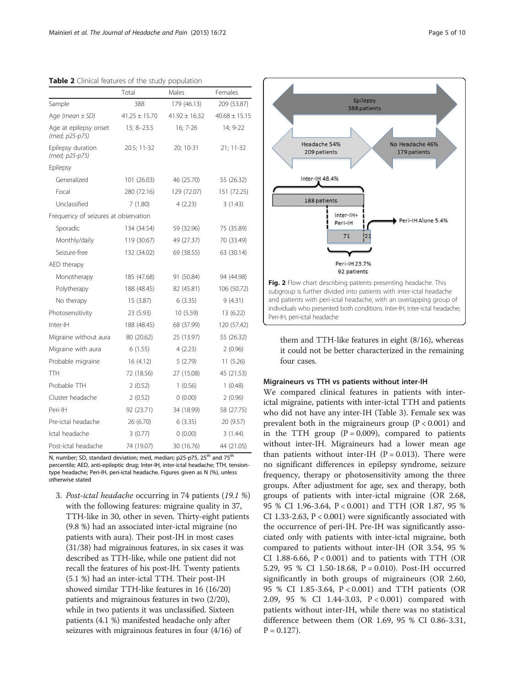<span id="page-4-0"></span>

| Table 2 Clinical features of the study population |                   |                   |                   |  |  |  |  |  |  |  |
|---------------------------------------------------|-------------------|-------------------|-------------------|--|--|--|--|--|--|--|
|                                                   | Total             | Males             | Females           |  |  |  |  |  |  |  |
| Sample                                            | 388               | 179 (46.13)       | 209 (53.87)       |  |  |  |  |  |  |  |
| Age (mean $\pm$ SD)                               | $41.25 \pm 15.70$ | $41.92 \pm 16.32$ | $40.68 \pm 15.15$ |  |  |  |  |  |  |  |
| Age at epilepsy onset<br>(med; p25-p75)           | $15; 8 - 23.5$    | 16; 7-26          | 14; 9-22          |  |  |  |  |  |  |  |
| Epilepsy duration<br>(med; p25-p75)               | 20.5; 11-32       | 20; 10-31         | 21; 11-32         |  |  |  |  |  |  |  |
| Epilepsy                                          |                   |                   |                   |  |  |  |  |  |  |  |
| Generalized                                       | 101 (26.03)       | 46 (25.70)        | 55 (26.32)        |  |  |  |  |  |  |  |
| Focal                                             | 280 (72.16)       | 129 (72.07)       | 151 (72.25)       |  |  |  |  |  |  |  |
| Unclassified                                      | 7(1.80)           | 4(2.23)           | 3(1.43)           |  |  |  |  |  |  |  |
| Frequency of seizures at observation              |                   |                   |                   |  |  |  |  |  |  |  |
| Sporadic                                          | 134 (34.54)       | 59 (32.96)        | 75 (35.89)        |  |  |  |  |  |  |  |
| Monthly/daily                                     | 119 (30.67)       | 49 (27.37)        | 70 (33.49)        |  |  |  |  |  |  |  |
| Seizure-free                                      | 132 (34.02)       | 69 (38.55)        | 63 (30.14)        |  |  |  |  |  |  |  |
| AED therapy                                       |                   |                   |                   |  |  |  |  |  |  |  |
| Monotherapy                                       | 185 (47.68)       | 91 (50.84)        | 94 (44.98)        |  |  |  |  |  |  |  |
| Polytherapy                                       | 188 (48.45)       | 82 (45.81)        | 106 (50.72)       |  |  |  |  |  |  |  |
| No therapy                                        | 15 (3.87)         | 6(3.35)           | 9(4.31)           |  |  |  |  |  |  |  |
| Photosensitivity                                  | 23 (5.93)         | 10 (5.59)         | 13 (6.22)         |  |  |  |  |  |  |  |
| Inter-IH                                          | 188 (48.45)       | 68 (37.99)        | 120 (57.42)       |  |  |  |  |  |  |  |
| Migraine without aura                             | 80 (20.62)        | 25 (13.97)        | 55 (26.32)        |  |  |  |  |  |  |  |
| Migraine with aura                                | 6(1.55)           | 4(2.23)           | 2(0.96)           |  |  |  |  |  |  |  |
| Probable migraine                                 | 16 (4.12)         | 5(2.79)           | 11(5.26)          |  |  |  |  |  |  |  |
| TTH                                               | 72 (18.56)        | 27 (15.08)        | 45 (21.53)        |  |  |  |  |  |  |  |
| Probable TTH                                      | 2(0.52)           | 1(0.56)           | 1(0.48)           |  |  |  |  |  |  |  |
| Cluster headache                                  | 2(0.52)           | 0(0.00)           | 2(0.96)           |  |  |  |  |  |  |  |
| Peri-IH                                           | 92 (23.71)        | 34 (18.99)        | 58 (27.75)        |  |  |  |  |  |  |  |
| Pre-ictal headache                                | 26 (6.70)         | 6(3.35)           | 20 (9.57)         |  |  |  |  |  |  |  |
| Ictal headache                                    | 3(0.77)           | 0(0.00)           | 3(1.44)           |  |  |  |  |  |  |  |
| Post-ictal headache                               | 74 (19.07)        | 30 (16.76)        | 44 (21.05)        |  |  |  |  |  |  |  |

N, number; SD, standard deviation; med, median; p25-p75, 25<sup>th</sup> and 75<sup>th</sup> percentile; AED, anti-epileptic drug; Inter-IH, inter-ictal headache; TTH, tensiontype headache; Peri-IH, peri-ictal headache. Figures given as N (%), unless otherwise stated

3. Post-ictal headache occurring in 74 patients (19.1 %) with the following features: migraine quality in 37, TTH-like in 30, other in seven. Thirty-eight patients (9.8 %) had an associated inter-ictal migraine (no patients with aura). Their post-IH in most cases (31/38) had migrainous features, in six cases it was described as TTH-like, while one patient did not recall the features of his post-IH. Twenty patients (5.1 %) had an inter-ictal TTH. Their post-IH showed similar TTH-like features in 16 (16/20) patients and migrainous features in two (2/20), while in two patients it was unclassified. Sixteen patients (4.1 %) manifested headache only after seizures with migrainous features in four (4/16) of



them and TTH-like features in eight (8/16), whereas it could not be better characterized in the remaining four cases.

#### Migraineurs vs TTH vs patients without inter-IH

We compared clinical features in patients with interictal migraine, patients with inter-ictal TTH and patients who did not have any inter-IH (Table [3\)](#page-5-0). Female sex was prevalent both in the migraineurs group  $(P < 0.001)$  and in the TTH group  $(P = 0.009)$ , compared to patients without inter-IH. Migraineurs had a lower mean age than patients without inter-IH  $(P = 0.013)$ . There were no significant differences in epilepsy syndrome, seizure frequency, therapy or photosensitivity among the three groups. After adjustment for age, sex and therapy, both groups of patients with inter-ictal migraine (OR 2.68, 95 % CI 1.96-3.64, P < 0.001) and TTH (OR 1.87, 95 % CI 1.33-2.63,  $P < 0.001$ ) were significantly associated with the occurrence of peri-IH. Pre-IH was significantly associated only with patients with inter-ictal migraine, both compared to patients without inter-IH (OR 3.54, 95 % CI 1.88-6.66,  $P < 0.001$ ) and to patients with TTH (OR 5.29, 95 % CI 1.50-18.68, P = 0.010). Post-IH occurred significantly in both groups of migraineurs (OR 2.60, 95 % CI 1.85-3.64, P < 0.001) and TTH patients (OR 2.09, 95 % CI 1.44-3.03, P < 0.001) compared with patients without inter-IH, while there was no statistical difference between them (OR 1.69, 95 % CI 0.86-3.31,  $P = 0.127$ .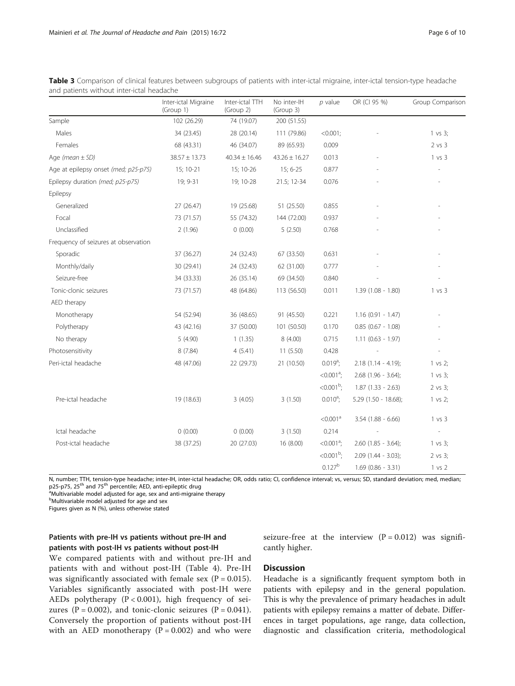|                                      | Inter-ictal Migraine<br>(Group 1) | Inter-ictal TTH<br>(Group 2) | No inter-IH<br>(Group 3) | $p$ value                | OR (CI 95 %)           | Group Comparison    |
|--------------------------------------|-----------------------------------|------------------------------|--------------------------|--------------------------|------------------------|---------------------|
| Sample                               | 102 (26.29)                       | 74 (19.07)                   | 200 (51.55)              |                          |                        |                     |
| Males                                | 34 (23.45)                        | 28 (20.14)                   | 111 (79.86)              | $< 0.001$ ;              |                        | 1 vs 3;             |
| Females                              | 68 (43.31)                        | 46 (34.07)                   | 89 (65.93)               | 0.009                    |                        | 2 vs 3              |
| Age (mean $\pm$ SD)                  | $38.57 \pm 13.73$                 | $40.34 \pm 16.46$            | $43.26 \pm 16.27$        | 0.013                    |                        | 1 vs 3              |
| Age at epilepsy onset (med; p25-p75) | 15; 10-21                         | 15; 10-26                    | $15; 6 - 25$             | 0.877                    |                        |                     |
| Epilepsy duration (med; p25-p75)     | 19; 9-31                          | 19; 10-28                    | 21.5; 12-34              | 0.076                    |                        |                     |
| Epilepsy                             |                                   |                              |                          |                          |                        |                     |
| Generalized                          | 27 (26.47)                        | 19 (25.68)                   | 51 (25.50)               | 0.855                    |                        |                     |
| Focal                                | 73 (71.57)                        | 55 (74.32)                   | 144 (72.00)              | 0.937                    |                        |                     |
| Unclassified                         | 2(1.96)                           | 0(0.00)                      | 5(2.50)                  | 0.768                    |                        |                     |
| Frequency of seizures at observation |                                   |                              |                          |                          |                        |                     |
| Sporadic                             | 37 (36.27)                        | 24 (32.43)                   | 67 (33.50)               | 0.631                    |                        |                     |
| Monthly/daily                        | 30 (29.41)                        | 24 (32.43)                   | 62 (31.00)               | 0.777                    |                        |                     |
| Seizure-free                         | 34 (33.33)                        | 26 (35.14)                   | 69 (34.50)               | 0.840                    |                        |                     |
| Tonic-clonic seizures                | 73 (71.57)                        | 48 (64.86)                   | 113 (56.50)              | 0.011                    | $1.39(1.08 - 1.80)$    | 1 vs 3              |
| AED therapy                          |                                   |                              |                          |                          |                        |                     |
| Monotherapy                          | 54 (52.94)                        | 36 (48.65)                   | 91 (45.50)               | 0.221                    | $1.16(0.91 - 1.47)$    |                     |
| Polytherapy                          | 43 (42.16)                        | 37 (50.00)                   | 101 (50.50)              | 0.170                    | $0.85(0.67 - 1.08)$    |                     |
| No therapy                           | 5(4.90)                           | 1(1.35)                      | 8(4.00)                  | 0.715                    | $1.11(0.63 - 1.97)$    |                     |
| Photosensitivity                     | 8(7.84)                           | 4(5.41)                      | 11(5.50)                 | 0.428                    |                        |                     |
| Peri-ictal headache                  | 48 (47.06)                        | 22 (29.73)                   | 21 (10.50)               | $0.019^a$ ;              | $2.18(1.14 - 4.19);$   | 1 vs 2;             |
|                                      |                                   |                              |                          | $< 0.001$ <sup>a</sup> ; | $2.68$ (1.96 - 3.64);  | 1 vs 3;             |
|                                      |                                   |                              |                          | $< 0.001b$ ;             | $1.87(1.33 - 2.63)$    | 2 vs 3;             |
| Pre-ictal headache                   | 19 (18.63)                        | 3(4.05)                      | 3(1.50)                  | $0.010^a$ ;              | $5.29$ (1.50 - 18.68); | $1 \text{ vs } 2;$  |
|                                      |                                   |                              |                          | < 0.001 <sup>a</sup>     | $3.54$ (1.88 - 6.66)   | 1 vs 3              |
| Ictal headache                       | 0(0.00)                           | 0(0.00)                      | 3(1.50)                  | 0.214                    |                        |                     |
| Post-ictal headache                  | 38 (37.25)                        | 20 (27.03)                   | 16 (8.00)                | $< 0.001a$ ;             | $2.60$ (1.85 - 3.64);  | $1 \text{ vs } 3$ ; |
|                                      |                                   |                              |                          | $< 0.001b$ ;             | $2.09$ (1.44 - 3.03);  | 2 vs 3;             |
|                                      |                                   |                              |                          | $0.127^{b}$              | $1.69$ (0.86 - 3.31)   | 1 vs 2              |

<span id="page-5-0"></span>Table 3 Comparison of clinical features between subgroups of patients with inter-ictal migraine, inter-ictal tension-type headache and patients without inter-ictal headache

N, number; TTH, tension-type headache; inter-IH, inter-ictal headache; OR, odds ratio; CI, confidence interval; vs, versus; SD, standard deviation; med, median; p25-p75, 25<sup>th</sup> and 75<sup>th</sup> percentile; AED, anti-epileptic drug

<sup>a</sup>Multivariable model adjusted for age, sex and anti-migraine therapy

**b**Multivariable model adjusted for age and sex

Figures given as N (%), unless otherwise stated

## Patients with pre-IH vs patients without pre-IH and patients with post-IH vs patients without post-IH

We compared patients with and without pre-IH and patients with and without post-IH (Table [4](#page-6-0)). Pre-IH was significantly associated with female sex  $(P = 0.015)$ . Variables significantly associated with post-IH were AEDs polytherapy  $(P < 0.001)$ , high frequency of seizures ( $P = 0.002$ ), and tonic-clonic seizures ( $P = 0.041$ ). Conversely the proportion of patients without post-IH with an AED monotherapy  $(P = 0.002)$  and who were

seizure-free at the interview  $(P = 0.012)$  was significantly higher.

## **Discussion**

Headache is a significantly frequent symptom both in patients with epilepsy and in the general population. This is why the prevalence of primary headaches in adult patients with epilepsy remains a matter of debate. Differences in target populations, age range, data collection, diagnostic and classification criteria, methodological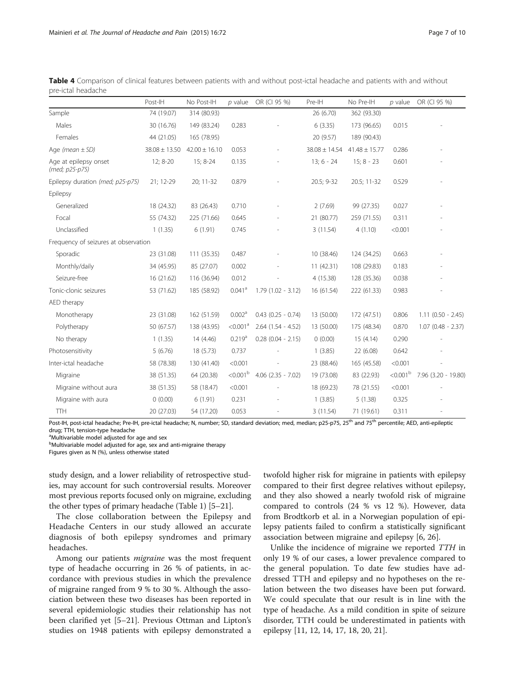|                                         | Post-IH           | No Post-IH        | $p$ value            | OR (CI 95 %)           | Pre-IH            | No Pre-IH         | $p$ value            | OR (CI 95 %)        |  |
|-----------------------------------------|-------------------|-------------------|----------------------|------------------------|-------------------|-------------------|----------------------|---------------------|--|
| Sample                                  | 74 (19.07)        | 314 (80.93)       |                      |                        | 26 (6.70)         | 362 (93.30)       |                      |                     |  |
| Males                                   | 30 (16.76)        | 149 (83.24)       | 0.283                |                        | 6(3.35)           | 173 (96.65)       | 0.015                |                     |  |
| Females                                 | 44 (21.05)        | 165 (78.95)       |                      |                        | 20 (9.57)         | 189 (90.43)       |                      |                     |  |
| Age (mean $\pm$ SD)                     | $38.08 \pm 13.50$ | $42.00 \pm 16.10$ | 0.053                | $\overline{a}$         | $38.08 \pm 14.54$ | $41.48 \pm 15.77$ | 0.286                |                     |  |
| Age at epilepsy onset<br>(med; p25-p75) | 12; 8-20          | 15; 8-24          | 0.135                |                        | $13; 6 - 24$      | $15:8 - 23$       | 0.601                |                     |  |
| Epilepsy duration (med; p25-p75)        | 21; 12-29         | 20; 11-32         | 0.879                |                        | 20.5; 9-32        | 20.5; 11-32       | 0.529                |                     |  |
| Epilepsy                                |                   |                   |                      |                        |                   |                   |                      |                     |  |
| Generalized                             | 18 (24.32)        | 83 (26.43)        | 0.710                |                        | 2(7.69)           | 99 (27.35)        | 0.027                |                     |  |
| Focal                                   | 55 (74.32)        | 225 (71.66)       | 0.645                |                        | 21 (80.77)        | 259 (71.55)       | 0.311                |                     |  |
| Unclassified                            | 1(1.35)           | 6(1.91)           | 0.745                |                        | 3(11.54)          | 4(1.10)           | < 0.001              |                     |  |
| Frequency of seizures at observation    |                   |                   |                      |                        |                   |                   |                      |                     |  |
| Sporadic                                | 23 (31.08)        | 111 (35.35)       | 0.487                |                        | 10 (38.46)        | 124 (34.25)       | 0.663                |                     |  |
| Monthly/daily                           | 34 (45.95)        | 85 (27.07)        | 0.002                |                        | 11(42.31)         | 108 (29.83)       | 0.183                |                     |  |
| Seizure-free                            | 16 (21.62)        | 116 (36.94)       | 0.012                |                        | 4(15.38)          | 128 (35.36)       | 0.038                |                     |  |
| Tonic-clonic seizures                   | 53 (71.62)        | 185 (58.92)       | $0.041$ <sup>a</sup> | $1.79(1.02 - 3.12)$    | 16 (61.54)        | 222 (61.33)       | 0.983                |                     |  |
| AED therapy                             |                   |                   |                      |                        |                   |                   |                      |                     |  |
| Monotherapy                             | 23 (31.08)        | 162 (51.59)       | 0.002 <sup>a</sup>   | $0.43$ $(0.25 - 0.74)$ | 13 (50.00)        | 172 (47.51)       | 0.806                | $1.11(0.50 - 2.45)$ |  |
| Polytherapy                             | 50 (67.57)        | 138 (43.95)       | < 0.001 <sup>a</sup> | $2.64$ (1.54 - 4.52)   | 13 (50.00)        | 175 (48.34)       | 0.870                | $1.07(0.48 - 2.37)$ |  |
| No therapy                              | 1(1.35)           | 14 (4.46)         | 0.219 <sup>a</sup>   | $0.28$ (0.04 - 2.15)   | 0(0.00)           | 15(4.14)          | 0.290                |                     |  |
| Photosensitivity                        | 5(6.76)           | 18(5.73)          | 0.737                |                        | 1(3.85)           | 22 (6.08)         | 0.642                |                     |  |
| Inter-ictal headache                    | 58 (78.38)        | 130 (41.40)       | < 0.001              |                        | 23 (88.46)        | 165 (45.58)       | < 0.001              |                     |  |
| Migraine                                | 38 (51.35)        | 64 (20.38)        | < 0.001 <sup>b</sup> | $4.06$ $(2.35 - 7.02)$ | 19 (73.08)        | 83 (22.93)        | < 0.001 <sup>b</sup> | 7.96 (3.20 - 19.80) |  |
| Migraine without aura                   | 38 (51.35)        | 58 (18.47)        | < 0.001              |                        | 18 (69.23)        | 78 (21.55)        | < 0.001              |                     |  |
| Migraine with aura                      | 0(0.00)           | 6(1.91)           | 0.231                |                        | 1(3.85)           | 5(1.38)           | 0.325                |                     |  |
| <b>TTH</b>                              | 20 (27.03)        | 54 (17.20)        | 0.053                |                        | 3(11.54)          | 71 (19.61)        | 0.311                |                     |  |

<span id="page-6-0"></span>

| <b>Table 4</b> Comparison of clinical features between patients with and without post-ictal headache and patients with and without |  |  |  |  |  |  |  |  |
|------------------------------------------------------------------------------------------------------------------------------------|--|--|--|--|--|--|--|--|
| pre-ictal headache                                                                                                                 |  |  |  |  |  |  |  |  |

Post-IH, post-ictal headache; Pre-IH, pre-ictal headache; N, number; SD, standard deviation; med, median; p25-p75, 25<sup>th</sup> and 75<sup>th</sup> percentile; AED, anti-epileptic drug; TTH, tension-type headache

<sup>a</sup>Multivariable model adjusted for age and sex

<sup>b</sup>Multivariable model adjusted for age, sex and anti-migraine therapy

Figures given as N (%), unless otherwise stated

study design, and a lower reliability of retrospective studies, may account for such controversial results. Moreover most previous reports focused only on migraine, excluding the other types of primary headache (Table [1\)](#page-1-0) [\[5](#page-8-0)–[21\]](#page-8-0).

The close collaboration between the Epilepsy and Headache Centers in our study allowed an accurate diagnosis of both epilepsy syndromes and primary headaches.

Among our patients migraine was the most frequent type of headache occurring in 26 % of patients, in accordance with previous studies in which the prevalence of migraine ranged from 9 % to 30 %. Although the association between these two diseases has been reported in several epidemiologic studies their relationship has not been clarified yet [\[5](#page-8-0)–[21\]](#page-8-0). Previous Ottman and Lipton's studies on 1948 patients with epilepsy demonstrated a

twofold higher risk for migraine in patients with epilepsy compared to their first degree relatives without epilepsy, and they also showed a nearly twofold risk of migraine compared to controls (24 % vs 12 %). However, data from Brodtkorb et al. in a Norwegian population of epilepsy patients failed to confirm a statistically significant association between migraine and epilepsy [[6](#page-8-0), [26](#page-8-0)].

Unlike the incidence of migraine we reported TTH in only 19 % of our cases, a lower prevalence compared to the general population. To date few studies have addressed TTH and epilepsy and no hypotheses on the relation between the two diseases have been put forward. We could speculate that our result is in line with the type of headache. As a mild condition in spite of seizure disorder, TTH could be underestimated in patients with epilepsy [\[11](#page-8-0), [12](#page-8-0), [14, 17, 18, 20, 21\]](#page-8-0).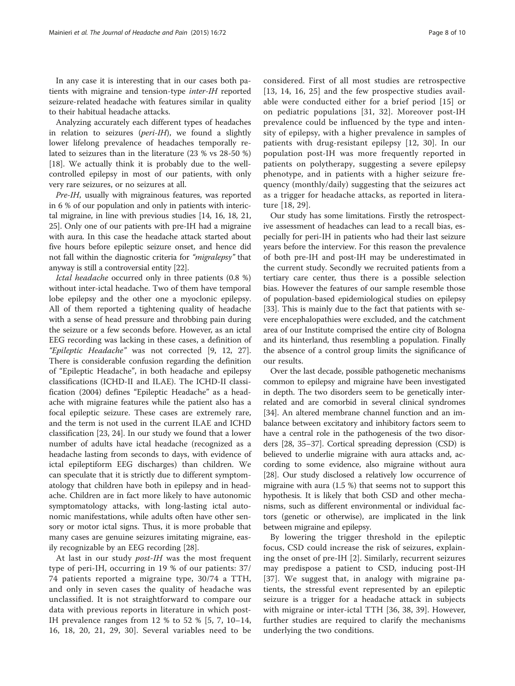In any case it is interesting that in our cases both patients with migraine and tension-type inter-IH reported seizure-related headache with features similar in quality to their habitual headache attacks.

Analyzing accurately each different types of headaches in relation to seizures (peri-IH), we found a slightly lower lifelong prevalence of headaches temporally related to seizures than in the literature (23 % vs 28-50 %) [[18\]](#page-8-0). We actually think it is probably due to the wellcontrolled epilepsy in most of our patients, with only very rare seizures, or no seizures at all.

Pre-IH, usually with migrainous features, was reported in 6 % of our population and only in patients with interictal migraine, in line with previous studies [\[14, 16, 18](#page-8-0), [21](#page-8-0), [25](#page-8-0)]. Only one of our patients with pre-IH had a migraine with aura. In this case the headache attack started about five hours before epileptic seizure onset, and hence did not fall within the diagnostic criteria for "migralepsy" that anyway is still a controversial entity [[22](#page-8-0)].

Ictal headache occurred only in three patients (0.8 %) without inter-ictal headache. Two of them have temporal lobe epilepsy and the other one a myoclonic epilepsy. All of them reported a tightening quality of headache with a sense of head pressure and throbbing pain during the seizure or a few seconds before. However, as an ictal EEG recording was lacking in these cases, a definition of "Epileptic Headache" was not corrected [\[9](#page-8-0), [12, 27](#page-8-0)]. There is considerable confusion regarding the definition of "Epileptic Headache", in both headache and epilepsy classifications (ICHD-II and ILAE). The ICHD-II classification (2004) defines "Epileptic Headache" as a headache with migraine features while the patient also has a focal epileptic seizure. These cases are extremely rare, and the term is not used in the current ILAE and ICHD classification [[23, 24](#page-8-0)]. In our study we found that a lower number of adults have ictal headache (recognized as a headache lasting from seconds to days, with evidence of ictal epileptiform EEG discharges) than children. We can speculate that it is strictly due to different symptomatology that children have both in epilepsy and in headache. Children are in fact more likely to have autonomic symptomatology attacks, with long-lasting ictal autonomic manifestations, while adults often have other sensory or motor ictal signs. Thus, it is more probable that many cases are genuine seizures imitating migraine, easily recognizable by an EEG recording [\[28\]](#page-8-0).

At last in our study *post-IH* was the most frequent type of peri-IH, occurring in 19 % of our patients: 37/ 74 patients reported a migraine type, 30/74 a TTH, and only in seven cases the quality of headache was unclassified. It is not straightforward to compare our data with previous reports in literature in which post-IH prevalence ranges from 12 % to 52 % [[5](#page-8-0), [7](#page-8-0), [10](#page-8-0)–[14](#page-8-0), [16, 18](#page-8-0), [20, 21](#page-8-0), [29, 30](#page-8-0)]. Several variables need to be

considered. First of all most studies are retrospective [[13](#page-8-0), [14, 16](#page-8-0), [25\]](#page-8-0) and the few prospective studies available were conducted either for a brief period [[15\]](#page-8-0) or on pediatric populations [[31](#page-8-0), [32\]](#page-9-0). Moreover post-IH prevalence could be influenced by the type and intensity of epilepsy, with a higher prevalence in samples of patients with drug-resistant epilepsy [\[12](#page-8-0), [30\]](#page-8-0). In our population post-IH was more frequently reported in patients on polytherapy, suggesting a severe epilepsy phenotype, and in patients with a higher seizure frequency (monthly/daily) suggesting that the seizures act as a trigger for headache attacks, as reported in literature [[18](#page-8-0), [29\]](#page-8-0).

Our study has some limitations. Firstly the retrospective assessment of headaches can lead to a recall bias, especially for peri-IH in patients who had their last seizure years before the interview. For this reason the prevalence of both pre-IH and post-IH may be underestimated in the current study. Secondly we recruited patients from a tertiary care center, thus there is a possible selection bias. However the features of our sample resemble those of population-based epidemiological studies on epilepsy [[33\]](#page-9-0). This is mainly due to the fact that patients with severe encephalopathies were excluded, and the catchment area of our Institute comprised the entire city of Bologna and its hinterland, thus resembling a population. Finally the absence of a control group limits the significance of our results.

Over the last decade, possible pathogenetic mechanisms common to epilepsy and migraine have been investigated in depth. The two disorders seem to be genetically interrelated and are comorbid in several clinical syndromes [[34](#page-9-0)]. An altered membrane channel function and an imbalance between excitatory and inhibitory factors seem to have a central role in the pathogenesis of the two disorders [[28](#page-8-0), [35](#page-9-0)–[37](#page-9-0)]. Cortical spreading depression (CSD) is believed to underlie migraine with aura attacks and, according to some evidence, also migraine without aura [[28](#page-8-0)]. Our study disclosed a relatively low occurrence of migraine with aura (1.5 %) that seems not to support this hypothesis. It is likely that both CSD and other mechanisms, such as different environmental or individual factors (genetic or otherwise), are implicated in the link between migraine and epilepsy.

By lowering the trigger threshold in the epileptic focus, CSD could increase the risk of seizures, explaining the onset of pre-IH [[2](#page-8-0)]. Similarly, recurrent seizures may predispose a patient to CSD, inducing post-IH [[37\]](#page-9-0). We suggest that, in analogy with migraine patients, the stressful event represented by an epileptic seizure is a trigger for a headache attack in subjects with migraine or inter-ictal TTH [[36, 38, 39](#page-9-0)]. However, further studies are required to clarify the mechanisms underlying the two conditions.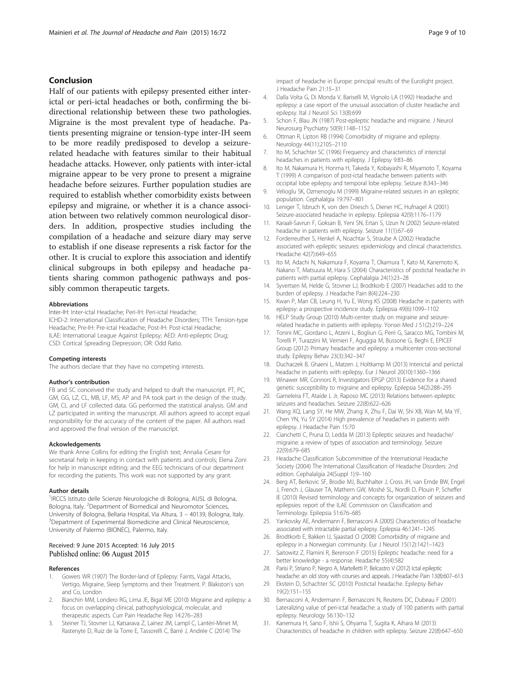## <span id="page-8-0"></span>Conclusion

Half of our patients with epilepsy presented either interictal or peri-ictal headaches or both, confirming the bidirectional relationship between these two pathologies. Migraine is the most prevalent type of headache. Patients presenting migraine or tension-type inter-IH seem to be more readily predisposed to develop a seizurerelated headache with features similar to their habitual headache attacks. However, only patients with inter-ictal migraine appear to be very prone to present a migraine headache before seizures. Further population studies are required to establish whether comorbidity exists between epilepsy and migraine, or whether it is a chance association between two relatively common neurological disorders. In addition, prospective studies including the compilation of a headache and seizure diary may serve to establish if one disease represents a risk factor for the other. It is crucial to explore this association and identify clinical subgroups in both epilepsy and headache patients sharing common pathogenic pathways and possibly common therapeutic targets.

#### Abbreviations

Inter-IH: Inter-ictal Headache; Peri-IH: Peri-ictal Headache; ICHD-2: International Classification of Headache Disorders; TTH: Tension-type Headache; Pre-IH: Pre-ictal Headache; Post-IH: Post-ictal Headache; ILAE: International League Against Epilepsy; AED: Anti-epileptic Drug; CSD: Cortical Spreading Depression; OR: Odd Ratio.

#### Competing interests

The authors declare that they have no competing interests.

#### Author's contribution

FB and SC conceived the study and helped to draft the manuscript. PT, PC, GM, GG, LZ, CL, MB, LF, MS, AP and PA took part in the design of the study. GM, CL and LF collected data. GG performed the statistical analysis. GM and LZ participated in writing the manuscript. All authors agreed to accept equal responsibility for the accuracy of the content of the paper. All authors read and approved the final version of the manuscript.

#### Ackowledgements

We thank Anne Collins for editing the English text; Annalia Cesare for secretarial help in keeping in contact with patients and controls; Elena Zoni for help in manuscript editing; and the EEG technicians of our department for recording the patients. This work was not supported by any grant.

#### Author details

<sup>1</sup>IRCCS Istituto delle Scienze Neurologiche di Bologna, AUSL di Bologna, Bologna, Italy. <sup>2</sup>Department of Biomedical and Neuromotor Sciences, University of Bologna, Bellaria Hospital, Via Altura, 3 - 40139, Bologna, Italy. Department of Experimental Biomedicine and Clinical Neuroscience, University of Palermo (BIONEC), Palermo, Italy.

#### Received: 9 June 2015 Accepted: 16 July 2015 Published online: 06 August 2015

#### References

- 1. Gowers WR (1907) The Border-land of Epilepsy: Faints, Vagal Attacks, Vertigo, Migraine, Sleep Symptoms and their Treatment. P. Blakiston's son and Co, London
- 2. Bianchin MM, Londero RG, Lima JE, Bigal ME (2010) Migraine and epilepsy: a focus on overlapping clinical, pathophysiological, molecular, and therapeutic aspects. Curr Pain Headache Rep 14:276–283
- 3. Steiner TJ, Stovner LJ, Katsarava Z, Lainez JM, Lampl C, Lantéri-Minet M, Rastenyte D, Ruiz de la Torre E, Tassorelli C, Barré J, Andrée C (2014) The

impact of headache in Europe: principal results of the Eurolight project. J Headache Pain 21:15–31

- 4. Dalla Volta G, Di Monda V, Bariselli M, Vignolo LA (1992) Headache and epilepsy: a case report of the unusual association of cluster headache and epilepsy. Ital J Neurol Sci 13(8):699
- 5. Schon F, Blau JN (1987) Post-epileptic headache and migraine. J Neurol Neurosurg Psychiatry 50(9):1148–1152
- 6. Ottman R, Lipton RB (1994) Comorbidity of migraine and epilepsy. Neurology 44(11):2105–2110
- 7. Ito M, Schachter SC (1996) Frequency and characteristics of interictal headaches in patients with epilepsy. J Epilepsy 9:83–86
- 8. Ito M, Nakamura H, Honma H, Takeda Y, Kobayashi R, Miyamoto T, Koyama T (1999) A comparison of post-ictal headache between patients with occipital lobe epilepsy and temporal lobe epilepsy. Seizure 8:343–346
- 9. Velioglu SK, Ozmenoglu M (1999) Migraine-related seizures in an epileptic population. Cephalalgia 19:797–801
- 10. Leniger T, Isbruch K, von den Driesch S, Diener HC, Hufnagel A (2001) Seizure-associated headache in epilepsy. Epilepsia 42(9):1176–1179
- 11. Karaali-Savrun F, Goksan B, Yeni SN, Ertan S, Uzun N (2002) Seizure-related headache in patients with epilepsy. Seizure 11(1):67–69
- 12. Forderreuther S, Henkel A, Noachtar S, Straube A (2002) Headache associated with epileptic seizures: epidemiology and clinical characteristics. Headache 42(7):649–655
- 13. Ito M, Adachi N, Nakamura F, Koyama T, Okamura T, Kato M, Kanemoto K, Nakano T, Matsuura M, Hara S (2004) Characteristics of postictal headache in patients with partial epilepsy. Cephalalgia 24(1):23–28
- 14. Syvertsen M, Helde G, Stovner LJ, Brodtkorb E (2007) Headaches add to the burden of epilepsy. J Headache Pain 8(4):224–230
- 15. Kwan P, Man CB, Leung H, Yu E, Wong KS (2008) Headache in patients with epilepsy: a prospective incidence study. Epilepsia 49(6):1099–1102
- 16. HELP Study Group (2010) Multi-center study on migraine and seizurerelated headache in patients with epilepsy. Yonsei Med J 51(2):219–224
- 17. Tonini MC, Giordano L, Atzeni L, Bogliun G, Perri G, Saracco MG, Tombini M, Torelli P, Turazzini M, Vernieri F, Aguggia M, Bussone G, Beghi E, EPICEF Group (2012) Primary headache and epilepsy: a multicenter cross-sectional study. Epilepsy Behav 23(3):342–347
- 18. Duchaczek B, Ghaeni L, Matzen J, Holtkamp M (2013) Interictal and periictal headache in patients with epilepsy. Eur J Neurol 20(10):1360–1366
- 19. Winawer MR, Connors R, Investigators EPGP (2013) Evidence for a shared genetic susceptibility to migraine and epilepsy. Epilepsia 54(2):288–295
- 20. Gameleira FT, Ataíde L Jr, Raposo MC (2013) Relations between epileptic seizures and headaches. Seizure 22(8):622–626
- 21. Wang XQ, Lang SY, He MW, Zhang X, Zhu F, Dai W, Shi XB, Wan M, Ma YF, Chen YN, Yu SY (2014) High prevalence of headaches in patients with epilepsy. J Headache Pain 15:70
- 22. Cianchetti C, Pruna D, Ledda M (2013) Epileptic seizures and headache/ migraine: a review of types of association and terminology. Seizure 22(9):679–685
- 23. Headache Classification Subcommittee of the International Headache Society (2004) The International Classification of Headache Disorders: 2nd edition. Cephalalgia 24(Suppl 1):9–160
- 24. Berg AT, Berkovic SF, Brodie MJ, Buchhalter J, Cross JH, van Emde BW, Engel J, French J, Glauser TA, Mathern GW, Moshé SL, Nordli D, Plouin P, Scheffer IE (2010) Revised terminology and concepts for organization of seizures and epilepsies: report of the ILAE Commission on Classification and Terminology. Epilepsia 51:676–685
- 25. Yankovsky AE, Andermann F, Bernasconi A (2005) Characteristics of headache associated with intractable partial epilepsy. Epilepsia 46:1241–1245
- 26. Brodtkorb E, Bakken IJ, Sjaastad O (2008) Comorbidity of migraine and epilepsy in a Norwegian community. Eur J Neurol 15(12):1421–1423
- 27. Saitowitz Z, Flamini R, Berenson F (2015) Epileptic headache: need for a better knowledge - a response. Headache 55(4):582
- 28. Parisi P, Striano P, Negro A, Martelletti P, Belcastro V (2012) Ictal epileptic headache: an old story with courses and appeals. J Headache Pain 13(8):607–613
- 29. Ekstein D, Schachter SC (2010) Postictal headache. Epilepsy Behav 19(2):151–155
- 30. Bernasconi A, Andermann F, Bernasconi N, Reutens DC, Dubeau F (2001) Lateralizing value of peri-ictal headache: a study of 100 patients with partial epilepsy. Neurology 56:130–132
- 31. Kanemura H, Sano F, Ishii S, Ohyama T, Sugita K, Aihara M (2013) Characteristics of headache in children with epilepsy. Seizure 22(8):647–650